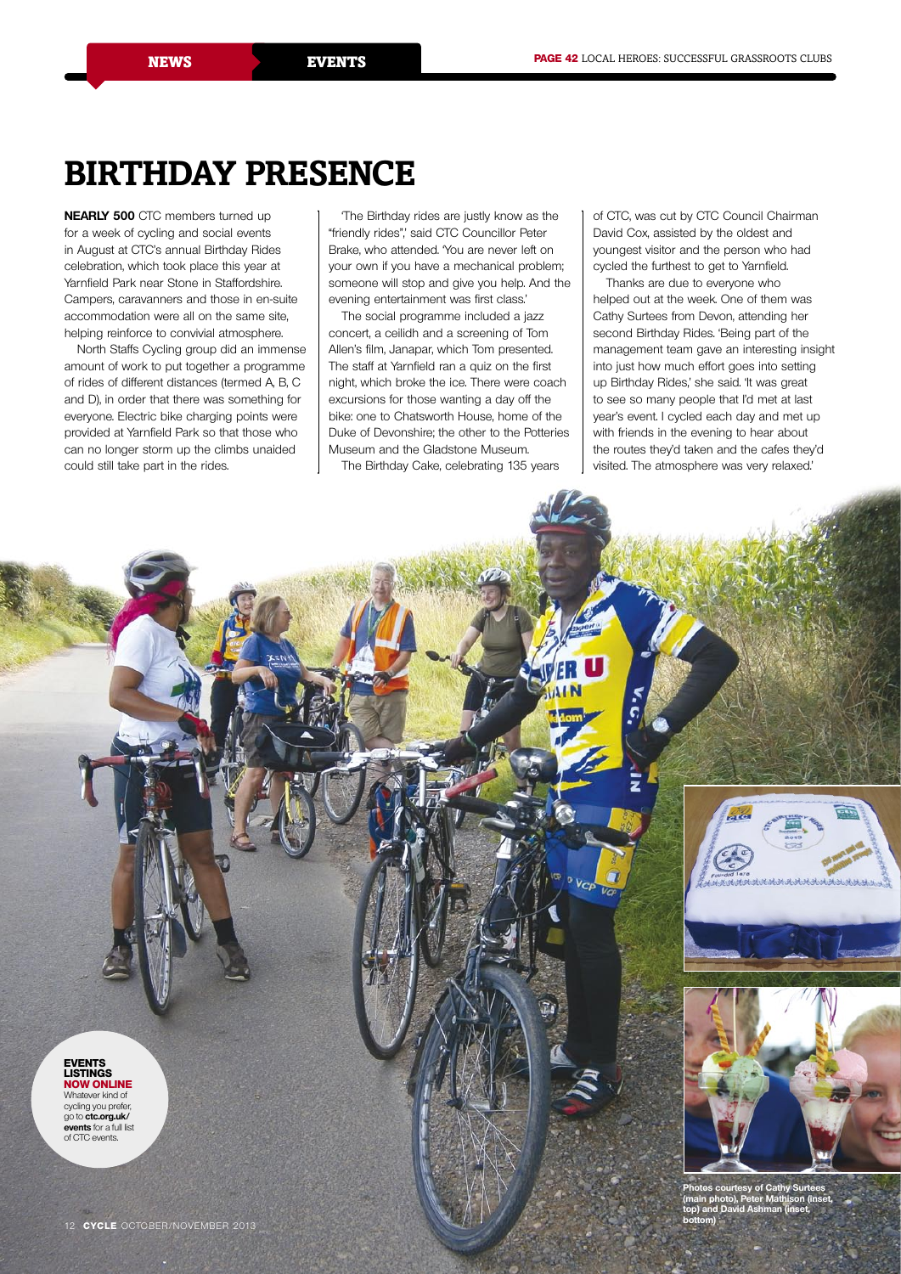# **Birthday presence**

**Nearly 500** CTC members turned up for a week of cycling and social events in August at CTC's annual Birthday Rides celebration, which took place this year at Yarnfield Park near Stone in Staffordshire. Campers, caravanners and those in en-suite accommodation were all on the same site, helping reinforce to convivial atmosphere.

North Staffs Cycling group did an immense amount of work to put together a programme of rides of different distances (termed A, B, C and D), in order that there was something for everyone. Electric bike charging points were provided at Yarnfield Park so that those who can no longer storm up the climbs unaided could still take part in the rides.

'The Birthday rides are justly know as the "friendly rides",' said CTC Councillor Peter Brake, who attended. 'You are never left on your own if you have a mechanical problem; someone will stop and give you help. And the evening entertainment was first class.'

The social programme included a jazz concert, a ceilidh and a screening of Tom Allen's film, Janapar, which Tom presented. The staff at Yarnfield ran a quiz on the first night, which broke the ice. There were coach excursions for those wanting a day off the bike: one to Chatsworth House, home of the Duke of Devonshire; the other to the Potteries Museum and the Gladstone Museum.

The Birthday Cake, celebrating 135 years

of CTC, was cut by CTC Council Chairman David Cox, assisted by the oldest and youngest visitor and the person who had cycled the furthest to get to Yarnfield.

Thanks are due to everyone who helped out at the week. One of them was Cathy Surtees from Devon, attending her second Birthday Rides. 'Being part of the management team gave an interesting insight into just how much effort goes into setting up Birthday Rides,' she said. 'It was great to see so many people that I'd met at last year's event. I cycled each day and met up with friends in the evening to hear about the routes they'd taken and the cafes they'd visited. The atmosphere was very relaxed.'

 $V_{cr}$ **events listings now online** Whatever kind of cycling you prefer, go to **ctc.org.uk/ events** for a full list of CTC events.**Photos courtesy of Cathy Surtees (main photo), Peter Mathison (inset, top) and David Ashman (inset, bottom)**